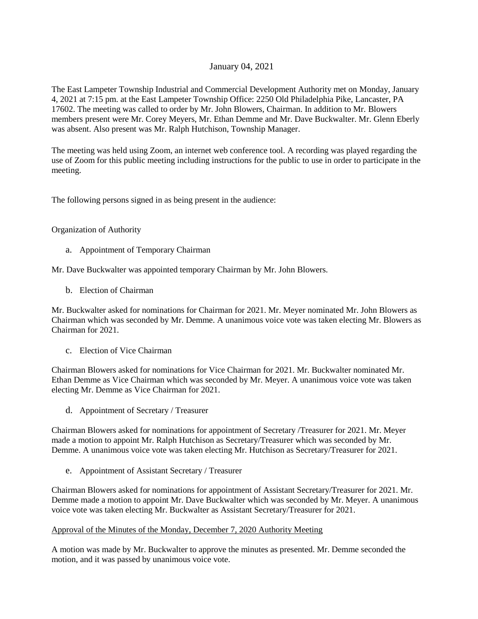# January 04, 2021

The East Lampeter Township Industrial and Commercial Development Authority met on Monday, January 4, 2021 at 7:15 pm. at the East Lampeter Township Office: 2250 Old Philadelphia Pike, Lancaster, PA 17602. The meeting was called to order by Mr. John Blowers, Chairman. In addition to Mr. Blowers members present were Mr. Corey Meyers, Mr. Ethan Demme and Mr. Dave Buckwalter. Mr. Glenn Eberly was absent. Also present was Mr. Ralph Hutchison, Township Manager.

The meeting was held using Zoom, an internet web conference tool. A recording was played regarding the use of Zoom for this public meeting including instructions for the public to use in order to participate in the meeting.

The following persons signed in as being present in the audience:

# Organization of Authority

a. Appointment of Temporary Chairman

Mr. Dave Buckwalter was appointed temporary Chairman by Mr. John Blowers.

b. Election of Chairman

Mr. Buckwalter asked for nominations for Chairman for 2021. Mr. Meyer nominated Mr. John Blowers as Chairman which was seconded by Mr. Demme. A unanimous voice vote was taken electing Mr. Blowers as Chairman for 2021.

c. Election of Vice Chairman

Chairman Blowers asked for nominations for Vice Chairman for 2021. Mr. Buckwalter nominated Mr. Ethan Demme as Vice Chairman which was seconded by Mr. Meyer. A unanimous voice vote was taken electing Mr. Demme as Vice Chairman for 2021.

d. Appointment of Secretary / Treasurer

Chairman Blowers asked for nominations for appointment of Secretary /Treasurer for 2021. Mr. Meyer made a motion to appoint Mr. Ralph Hutchison as Secretary/Treasurer which was seconded by Mr. Demme. A unanimous voice vote was taken electing Mr. Hutchison as Secretary/Treasurer for 2021.

e. Appointment of Assistant Secretary / Treasurer

Chairman Blowers asked for nominations for appointment of Assistant Secretary/Treasurer for 2021. Mr. Demme made a motion to appoint Mr. Dave Buckwalter which was seconded by Mr. Meyer. A unanimous voice vote was taken electing Mr. Buckwalter as Assistant Secretary/Treasurer for 2021.

## Approval of the Minutes of the Monday, December 7, 2020 Authority Meeting

A motion was made by Mr. Buckwalter to approve the minutes as presented. Mr. Demme seconded the motion, and it was passed by unanimous voice vote.